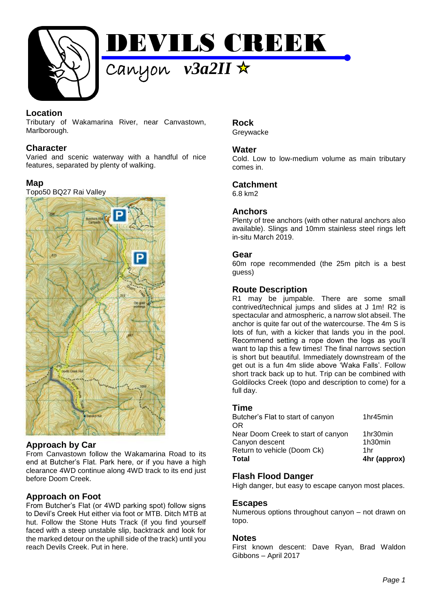

## **Location**

Tributary of Wakamarina River, near Canvastown, Marlborough.

### **Character**

Varied and scenic waterway with a handful of nice features, separated by plenty of walking.

### **Map**

Topo50 BQ27 Rai Valley



#### **Approach by Car**

From Canvastown follow the Wakamarina Road to its end at Butcher's Flat. Park here, or if you have a high clearance 4WD continue along 4WD track to its end just before Doom Creek.

# **Approach on Foot**

From Butcher's Flat (or 4WD parking spot) follow signs to Devil's Creek Hut either via foot or MTB. Ditch MTB at hut. Follow the Stone Huts Track (if you find yourself faced with a steep unstable slip, backtrack and look for the marked detour on the uphill side of the track) until you reach Devils Creek. Put in here.

#### **Rock Greywacke**

#### **Water**

Cold. Low to low-medium volume as main tributary comes in.

#### **Catchment**

6.8 km2

### **Anchors**

Plenty of tree anchors (with other natural anchors also available). Slings and 10mm stainless steel rings left in-situ March 2019.

#### **Gear**

60m rope recommended (the 25m pitch is a best guess)

### **Route Description**

R1 may be jumpable. There are some small contrived/technical jumps and slides at J 1m! R2 is spectacular and atmospheric, a narrow slot abseil. The anchor is quite far out of the watercourse. The 4m S is lots of fun, with a kicker that lands you in the pool. Recommend setting a rope down the logs as you'll want to lap this a few times! The final narrows section is short but beautiful. Immediately downstream of the get out is a fun 4m slide above 'Waka Falls'. Follow short track back up to hut. Trip can be combined with Goldilocks Creek (topo and description to come) for a full day.

#### **Time**

| Total                                   | 4hr (approx) |
|-----------------------------------------|--------------|
| Return to vehicle (Doom Ck)             | 1hr          |
| Canyon descent                          | 1h30min      |
| Near Doom Creek to start of canyon      | 1hr30min     |
| Butcher's Flat to start of canyon<br>ΟR | 1hr45min     |
|                                         |              |

# **Flash Flood Danger**

High danger, but easy to escape canyon most places.

#### **Escapes**

Numerous options throughout canyon – not drawn on topo.

#### **Notes**

First known descent: Dave Ryan, Brad Waldon Gibbons – April 2017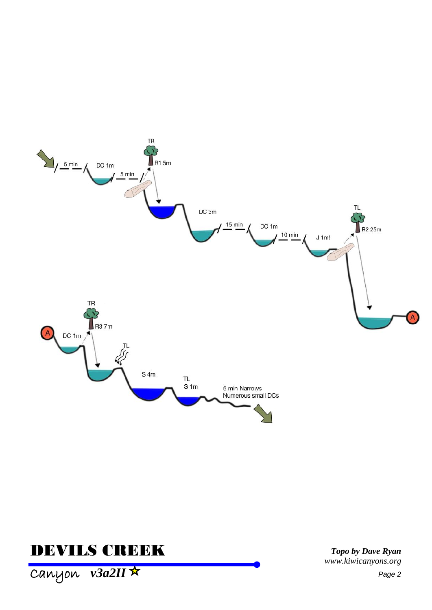

# **DEVILS CREEK**

Topo by Dave Ryan www.kiwicanyons.org

Canyon v3a2II \*

Page 2